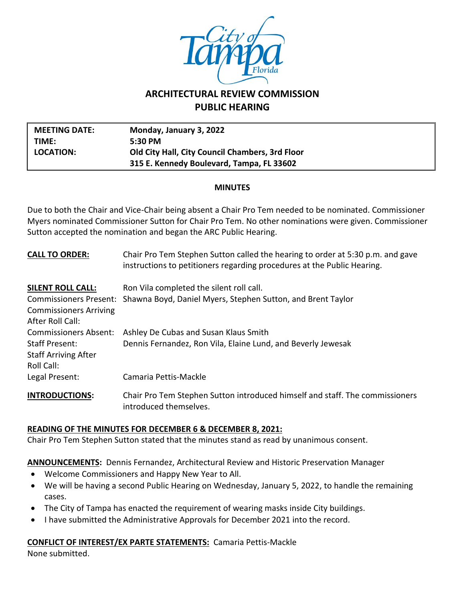

# **ARCHITECTURAL REVIEW COMMISSION PUBLIC HEARING**

| <b>MEETING DATE:</b> | Monday, January 3, 2022                         |
|----------------------|-------------------------------------------------|
| TIME:                | $5:30$ PM                                       |
| LOCATION:            | Old City Hall, City Council Chambers, 3rd Floor |
|                      | 315 E. Kennedy Boulevard, Tampa, FL 33602       |

#### **MINUTES**

Due to both the Chair and Vice-Chair being absent a Chair Pro Tem needed to be nominated. Commissioner Myers nominated Commissioner Sutton for Chair Pro Tem. No other nominations were given. Commissioner Sutton accepted the nomination and began the ARC Public Hearing.

| <b>CALL TO ORDER:</b>                                                                              | Chair Pro Tem Stephen Sutton called the hearing to order at 5:30 p.m. and gave<br>instructions to petitioners regarding procedures at the Public Hearing. |
|----------------------------------------------------------------------------------------------------|-----------------------------------------------------------------------------------------------------------------------------------------------------------|
| <b>SILENT ROLL CALL:</b>                                                                           | Ron Vila completed the silent roll call.                                                                                                                  |
| <b>Commissioners Arriving</b><br>After Roll Call:                                                  | Commissioners Present: Shawna Boyd, Daniel Myers, Stephen Sutton, and Brent Taylor                                                                        |
| <b>Commissioners Absent:</b><br><b>Staff Present:</b><br><b>Staff Arriving After</b><br>Roll Call: | Ashley De Cubas and Susan Klaus Smith<br>Dennis Fernandez, Ron Vila, Elaine Lund, and Beverly Jewesak                                                     |
| Legal Present:                                                                                     | Camaria Pettis-Mackle                                                                                                                                     |
| <b>INTRODUCTIONS:</b>                                                                              | Chair Pro Tem Stephen Sutton introduced himself and staff. The commissioners<br>introduced themselves.                                                    |

# **READING OF THE MINUTES FOR DECEMBER 6 & DECEMBER 8, 2021:**

Chair Pro Tem Stephen Sutton stated that the minutes stand as read by unanimous consent.

**ANNOUNCEMENTS:** Dennis Fernandez, Architectural Review and Historic Preservation Manager

- Welcome Commissioners and Happy New Year to All.
- We will be having a second Public Hearing on Wednesday, January 5, 2022, to handle the remaining cases.
- The City of Tampa has enacted the requirement of wearing masks inside City buildings.
- I have submitted the Administrative Approvals for December 2021 into the record.

# **CONFLICT OF INTEREST/EX PARTE STATEMENTS:** Camaria Pettis-Mackle

None submitted.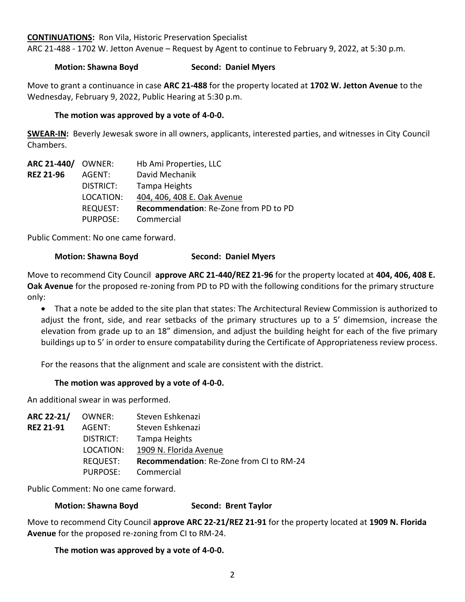#### **CONTINUATIONS:** Ron Vila, Historic Preservation Specialist

ARC 21-488 - 1702 W. Jetton Avenue – Request by Agent to continue to February 9, 2022, at 5:30 p.m.

## **Motion: Shawna Boyd Second: Daniel Myers**

Move to grant a continuance in case **ARC 21-488** for the property located at **1702 W. Jetton Avenue** to the Wednesday, February 9, 2022, Public Hearing at 5:30 p.m.

### **The motion was approved by a vote of 4-0-0.**

**SWEAR-IN:** Beverly Jewesak swore in all owners, applicants, interested parties, and witnesses in City Council Chambers.

| <b>ARC 21-440/ OWNER:</b> |                 | Hb Ami Properties, LLC                |
|---------------------------|-----------------|---------------------------------------|
| <b>REZ 21-96</b>          | AGENT:          | David Mechanik                        |
|                           | DISTRICT:       | Tampa Heights                         |
|                           | LOCATION:       | 404, 406, 408 E. Oak Avenue           |
|                           | <b>REQUEST:</b> | Recommendation: Re-Zone from PD to PD |
|                           | <b>PURPOSE:</b> | Commercial                            |

Public Comment: No one came forward.

## **Motion: Shawna Boyd Second: Daniel Myers**

Move to recommend City Council **approve ARC 21-440/REZ 21-96** for the property located at **404, 406, 408 E. Oak Avenue** for the proposed re-zoning from PD to PD with the following conditions for the primary structure only:

• That a note be added to the site plan that states: The Architectural Review Commission is authorized to adjust the front, side, and rear setbacks of the primary structures up to a 5' dimemsion, increase the elevation from grade up to an 18" dimension, and adjust the building height for each of the five primary buildings up to 5' in order to ensure compatability during the Certificate of Appropriateness review process.

For the reasons that the alignment and scale are consistent with the district.

#### **The motion was approved by a vote of 4-0-0.**

An additional swear in was performed.

| <b>ARC 22-21/ OWNER:</b> |                 | Steven Eshkenazi                         |
|--------------------------|-----------------|------------------------------------------|
| <b>REZ 21-91</b>         | AGENT:          | Steven Eshkenazi                         |
|                          | DISTRICT:       | Tampa Heights                            |
|                          | LOCATION:       | 1909 N. Florida Avenue                   |
|                          | <b>REQUEST:</b> | Recommendation: Re-Zone from CI to RM-24 |
|                          | PURPOSE:        | Commercial                               |

Public Comment: No one came forward.

#### **Motion: Shawna Boyd Second: Brent Taylor**

Move to recommend City Council **approve ARC 22-21/REZ 21-91** for the property located at **1909 N. Florida Avenue** for the proposed re-zoning from CI to RM-24.

#### **The motion was approved by a vote of 4-0-0.**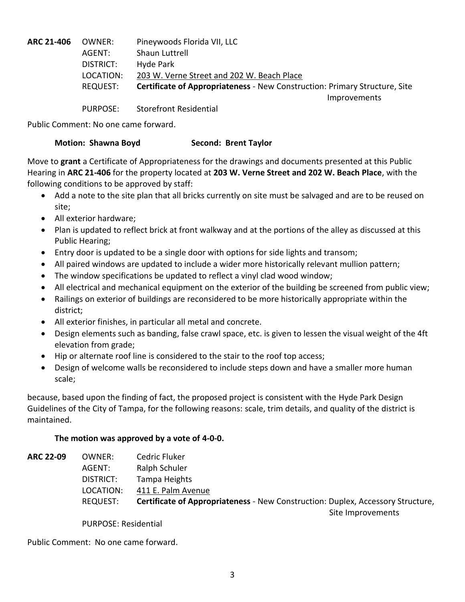**ARC 21-406** OWNER: Pineywoods Florida VII, LLC AGENT: Shaun Luttrell DISTRICT: Hyde Park LOCATION: 203 W. Verne Street and 202 W. Beach Place REQUEST: **Certificate of Appropriateness** - New Construction: Primary Structure, Site Improvements PURPOSE: Storefront Residential

Public Comment: No one came forward.

## **Motion: Shawna Boyd Second: Brent Taylor**

Move to **grant** a Certificate of Appropriateness for the drawings and documents presented at this Public Hearing in **ARC 21-406** for the property located at **203 W. Verne Street and 202 W. Beach Place**, with the following conditions to be approved by staff:

- Add a note to the site plan that all bricks currently on site must be salvaged and are to be reused on site;
- All exterior hardware;
- Plan is updated to reflect brick at front walkway and at the portions of the alley as discussed at this Public Hearing;
- Entry door is updated to be a single door with options for side lights and transom;
- All paired windows are updated to include a wider more historically relevant mullion pattern;
- The window specifications be updated to reflect a vinyl clad wood window;
- All electrical and mechanical equipment on the exterior of the building be screened from public view;
- Railings on exterior of buildings are reconsidered to be more historically appropriate within the district;
- All exterior finishes, in particular all metal and concrete.
- Design elements such as banding, false crawl space, etc. is given to lessen the visual weight of the 4ft elevation from grade;
- Hip or alternate roof line is considered to the stair to the roof top access;
- Design of welcome walls be reconsidered to include steps down and have a smaller more human scale;

because, based upon the finding of fact, the proposed project is consistent with the Hyde Park Design Guidelines of the City of Tampa, for the following reasons: scale, trim details, and quality of the district is maintained.

# **The motion was approved by a vote of 4-0-0.**

| <b>ARC 22-09</b> | OWNER:    | Cedric Fluker                                                                          |
|------------------|-----------|----------------------------------------------------------------------------------------|
|                  | AGENT:    | Ralph Schuler                                                                          |
|                  | DISTRICT: | Tampa Heights                                                                          |
|                  | LOCATION: | 411 E. Palm Avenue                                                                     |
|                  | REQUEST:  | <b>Certificate of Appropriateness - New Construction: Duplex, Accessory Structure,</b> |
|                  |           | Site Improvements                                                                      |
|                  |           |                                                                                        |

PURPOSE: Residential

Public Comment: No one came forward.